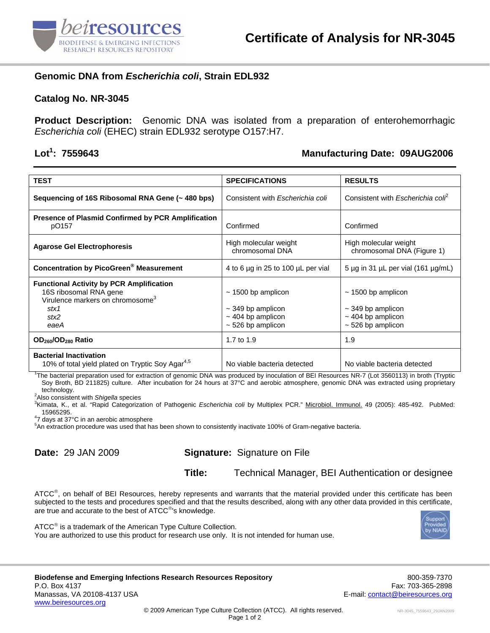

## **Genomic DNA from** *Escherichia coli***, Strain EDL932**

### **Catalog No. NR-3045**

**Product Description:** Genomic DNA was isolated from a preparation of enterohemorrhagic *Escherichia coli* (EHEC) strain EDL932 serotype O157:H7.

## Lot<sup>1</sup>: 7559643

### **: 7559643 Manufacturing Date: 09AUG2006**

| <b>TEST</b>                                                                                                                                       | <b>SPECIFICATIONS</b>                                                                                 | <b>RESULTS</b>                                                                                        |
|---------------------------------------------------------------------------------------------------------------------------------------------------|-------------------------------------------------------------------------------------------------------|-------------------------------------------------------------------------------------------------------|
| Sequencing of 16S Ribosomal RNA Gene (~ 480 bps)                                                                                                  | Consistent with <i>Escherichia coli</i>                                                               | Consistent with Escherichia colf                                                                      |
| <b>Presence of Plasmid Confirmed by PCR Amplification</b><br>pO157                                                                                | Confirmed                                                                                             | Confirmed                                                                                             |
| <b>Agarose Gel Electrophoresis</b>                                                                                                                | High molecular weight<br>chromosomal DNA                                                              | High molecular weight<br>chromosomal DNA (Figure 1)                                                   |
| <b>Concentration by PicoGreen® Measurement</b>                                                                                                    | 4 to 6 µg in 25 to 100 µL per vial                                                                    | 5 $\mu$ g in 31 $\mu$ L per vial (161 $\mu$ g/mL)                                                     |
| <b>Functional Activity by PCR Amplification</b><br>16S ribosomal RNA gene<br>Virulence markers on chromosome <sup>3</sup><br>stx1<br>stx2<br>eaeA | $\sim$ 1500 bp amplicon<br>$\sim$ 349 bp amplicon<br>$\sim$ 404 bp amplicon<br>$\sim$ 526 bp amplicon | $\sim$ 1500 bp amplicon<br>$\sim$ 349 bp amplicon<br>$\sim$ 404 bp amplicon<br>$\sim$ 526 bp amplicon |
| OD <sub>260</sub> /OD <sub>280</sub> Ratio                                                                                                        | 1.7 to 1.9                                                                                            | 1.9                                                                                                   |
| <b>Bacterial Inactivation</b><br>10% of total yield plated on Tryptic Soy Agar <sup>4,5</sup>                                                     | No viable bacteria detected                                                                           | No viable bacteria detected                                                                           |

1 The bacterial preparation used for extraction of genomic DNA was produced by inoculation of BEI Resources NR-7 (Lot 3560113) in broth (Tryptic Soy Broth, BD 211825) culture. After incubation for 24 hours at 37°C and aerobic atmosphere, genomic DNA was extracted using proprietary technology.

Also consistent with *Shigella* species 3

<sup>3</sup>Kimata, K., et al. "Rapid Categorization of Pathogenic *Escherichia coli* by Multiplex PCR." <u>Microbiol. Immunol.</u> 49 (2005): 485-492. PubMed:<br>15965295. 15965295. 4 7 days at 37°C in an aerobic atmosphere

5 An extraction procedure was used that has been shown to consistently inactivate 100% of Gram-negative bacteria.

# **Date:** 29 JAN 2009 **Signature:** Signature on File

**Title:** Technical Manager, BEI Authentication or designee

ATCC®, on behalf of BEI Resources, hereby represents and warrants that the material provided under this certificate has been subjected to the tests and procedures specified and that the results described, along with any other data provided in this certificate, are true and accurate to the best of ATCC<sup>®</sup>'s knowledge.



ATCC<sup>®</sup> is a trademark of the American Type Culture Collection. You are authorized to use this product for research use only. It is not intended for human use.